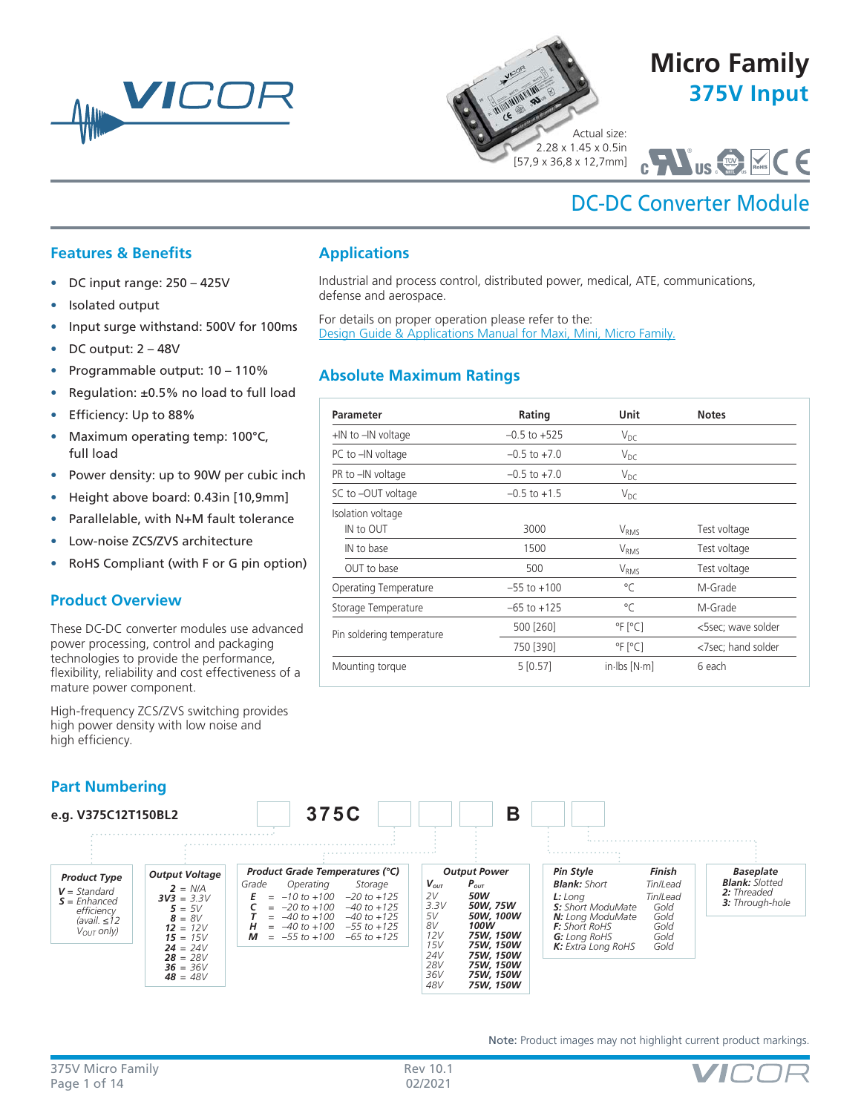



**Parameter Rating Unit Notes** 

Industrial and process control, distributed power, medical, ATE, communications,

IN to OUT  $V_{RMS}$  Test voltage IN to base  $V_{\rm RMS}$  and  $V_{\rm RMS}$  are the Test voltage OUT to base  $500$  V<sub>RMS</sub> Test voltage Operating Temperature  $-55$  to +100 °C M-Grade Storage Temperature –65 to +125

Pin soldering temperature  $\frac{500 [260]}{750 [390]}$  <sup>o</sup>F [°C] <5sec; wave solder

Mounting torque 1.1 [20] 5 [0.57] in-lbs [N·m] 6 each

 $+1$ N to  $-1$ N voltage  $-0.5$  to  $+525$ PC to  $-IN$  voltage  $-0.5$  to  $+7.0$   $V_{DC}$ PR to  $-IN$  voltage  $-0.5$  to  $+7.0$ SC to –OUT voltage  $-0.5$  to +1.5  $V_{DC}$ 

[Design Guide & Applications Manual for Maxi, Mini, Micro Family.](http://www.vicorpower.com/documents/applications_manual/fas_trak_apps_manual.pdf)

For details on proper operation please refer to the:

**Absolute Maximum Ratings**

Isolation voltage

**Applications**

defense and aerospace.

# **375V Input Micro Family**

2.28 x 1.45 x 0.5in [57,9 x 36,8 x 12,7mm]

# C US **C U NRTL <sup>S</sup>** ®

# DC-DC Converter Module

# **Features & Benefits**

- DC input range: 250 425V
- Isolated output
- Input surge withstand: 500V for 100ms
- DC output: 2 48V
- Programmable output: 10 110%
- Regulation: ±0.5% no load to full load
- Efficiency: Up to 88%
- Maximum operating temp: 100°C, full load
- Power density: up to 90W per cubic inch
- Height above board: 0.43in [10,9mm]
- Parallelable, with N+M fault tolerance
- Low-noise ZCS/ZVS architecture
- RoHS Compliant (with F or G pin option)

# **Product Overview**

These DC-DC converter modules use advanced power processing, control and packaging technologies to provide the performance, flexibility, reliability and cost effectiveness of a mature power component.

High-frequency ZCS/ZVS switching provides high power density with low noise and high efficiency.

# **Part Numbering**



Note: Product images may not highlight current product markings.



<7sec; hand solder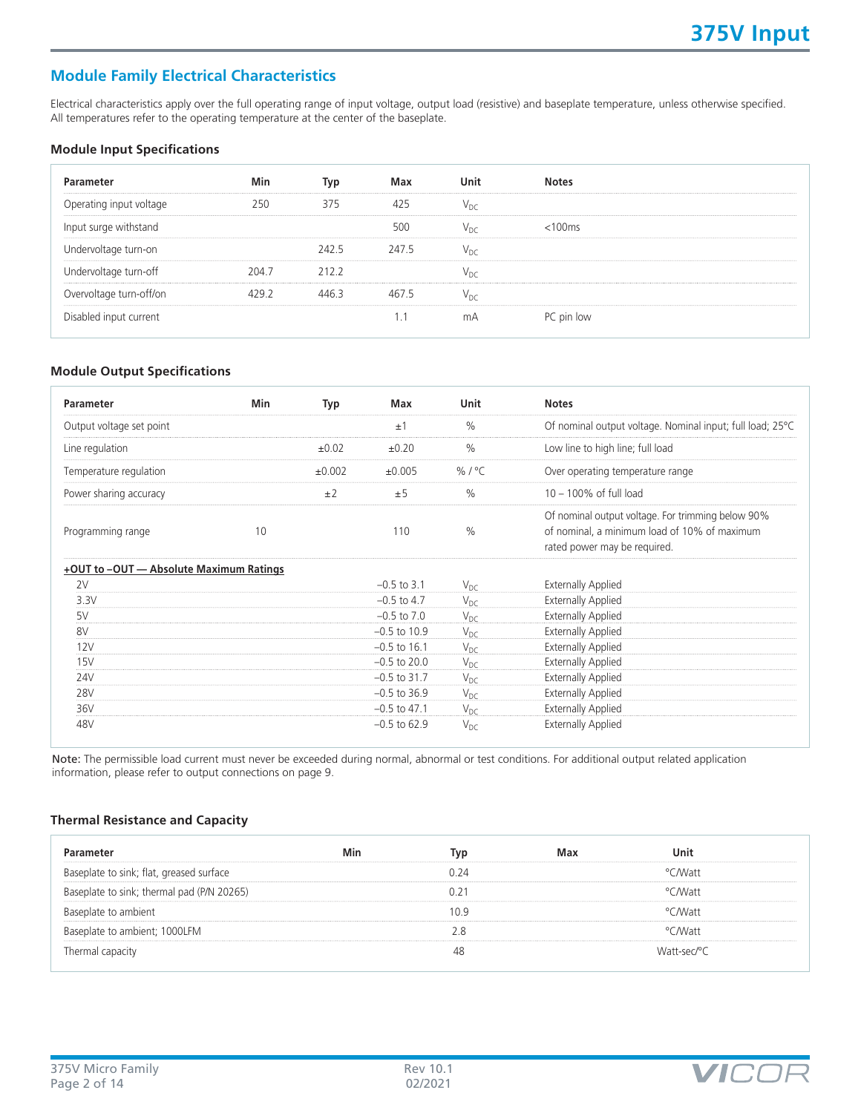# **Module Family Electrical Characteristics**

Electrical characteristics apply over the full operating range of input voltage, output load (resistive) and baseplate temperature, unless otherwise specified. All temperatures refer to the operating temperature at the center of the baseplate.

#### **Module Input Specifications**

| Parameter               | Min   | Typ<br>. | Max   | Unit | <b>Notes</b>      |  |
|-------------------------|-------|----------|-------|------|-------------------|--|
| Operating input voltage | 250   | 375      | 425   |      |                   |  |
| Input surge withstand   |       |          | 500   |      | $< 100 \text{ms}$ |  |
| Undervoltage turn-on    |       | 242.5    | 247.5 | Vnr  |                   |  |
| Undervoltage turn-off   | 2047  | 212.2    |       |      |                   |  |
| Overvoltage turn-off/on | 479 Z |          |       |      |                   |  |
| Disabled input current  |       |          |       | mΑ   | PC pin low        |  |

## **Module Output Specifications**

| Parameter                               | Min | Typ    | Max             | <b>Unit</b>   | <b>Notes</b>                                                                                                                      |
|-----------------------------------------|-----|--------|-----------------|---------------|-----------------------------------------------------------------------------------------------------------------------------------|
| Output voltage set point                |     |        | ±1              | $\frac{0}{0}$ | Of nominal output voltage. Nominal input; full load; 25°C                                                                         |
| Line regulation                         |     | ±0.02  | $\pm 0.20$      | $\frac{0}{0}$ | Low line to high line; full load                                                                                                  |
| Temperature regulation                  |     | ±0.002 | ±0.005          | %/ $°C$       | Over operating temperature range                                                                                                  |
| Power sharing accuracy                  |     | ±2     | ±5              | $\frac{0}{0}$ | $10 - 100\%$ of full load                                                                                                         |
| Programming range                       | 10  |        | 110             | $\frac{0}{0}$ | Of nominal output voltage. For trimming below 90%<br>of nominal, a minimum load of 10% of maximum<br>rated power may be required. |
| +OUT to -OUT - Absolute Maximum Ratings |     |        |                 |               |                                                                                                                                   |
| 2V                                      |     |        | $-0.5$ to 3.1   | $V_{DC}$      | <b>Externally Applied</b>                                                                                                         |
| 3.3V                                    |     |        | $-0.5$ to 4.7   | $V_{DC}$      | <b>Externally Applied</b>                                                                                                         |
| 5V                                      |     |        | $-0.5$ to $7.0$ | $V_{DC}$      | <b>Externally Applied</b>                                                                                                         |
| 8V                                      |     |        | $-0.5$ to 10.9  | $V_{DC}$      | <b>Externally Applied</b>                                                                                                         |
| 12V                                     |     |        | $-0.5$ to 16.1  | $V_{DC}$      | <b>Externally Applied</b>                                                                                                         |
| 15V                                     |     |        | $-0.5$ to 20.0  | $V_{DC}$      | <b>Externally Applied</b>                                                                                                         |
| 24V                                     |     |        | $-0.5$ to 31.7  | $V_{DC}$      | <b>Externally Applied</b>                                                                                                         |
| <b>28V</b>                              |     |        | $-0.5$ to 36.9  | $V_{DC}$      | <b>Externally Applied</b>                                                                                                         |
| 36V                                     |     |        | $-0.5$ to 47.1  | $V_{DC}$      | <b>Externally Applied</b>                                                                                                         |
| 48V                                     |     |        | $-0.5$ to 62.9  | $V_{DC}$      | <b>Externally Applied</b>                                                                                                         |

Note: The permissible load current must never be exceeded during normal, abnormal or test conditions. For additional output related application information, please refer to output connections on page 9.

#### **Thermal Resistance and Capacity**

| ameter                                     | Min | Tvo  | Max | Unit        |  |
|--------------------------------------------|-----|------|-----|-------------|--|
| Baseplate to sink; flat, greased surface   |     | 724  |     | °CMVatt     |  |
| Baseplate to sink; thermal pad (P/N 20265) |     |      |     | °CMVatt     |  |
| Baseplate to ambient                       |     | 10 9 |     | °CMVatt     |  |
| Baseplate to ambient; 1000LFM              |     |      |     | °CMVatt     |  |
| Thermal capacity                           |     |      |     | Watt-sec/°C |  |

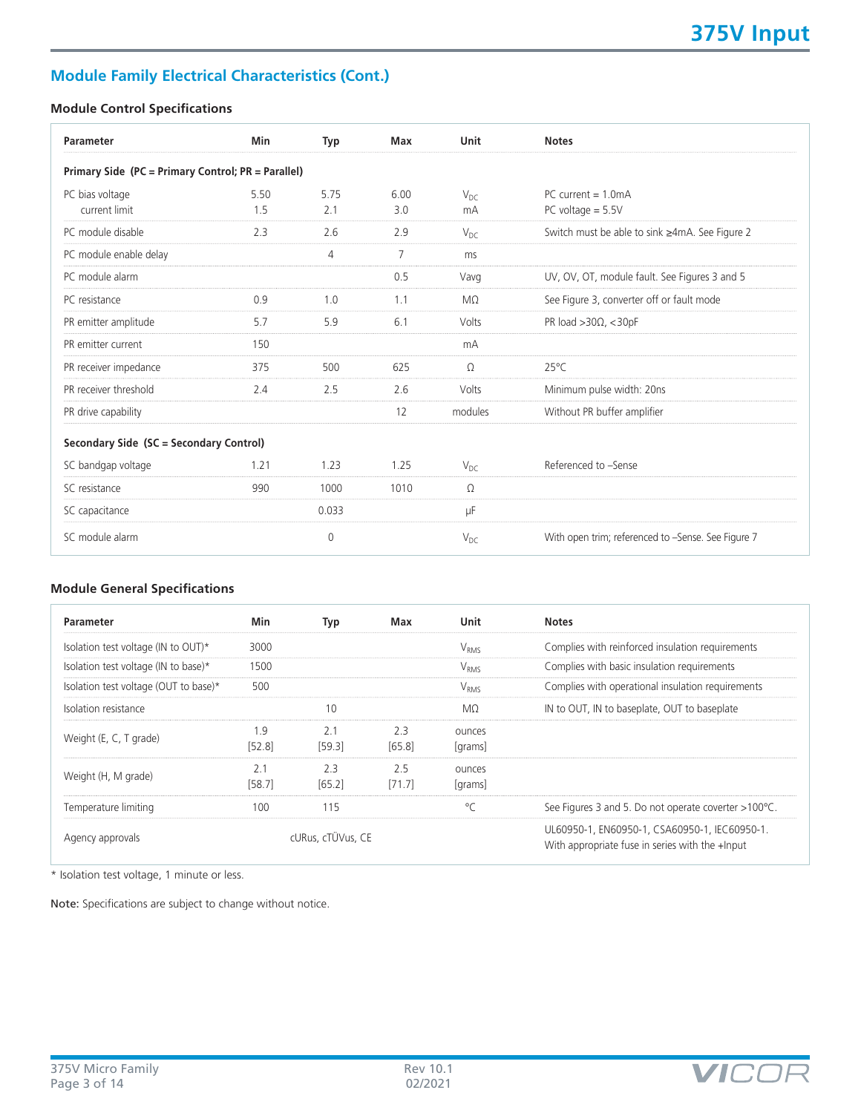# **Module Family Electrical Characteristics (Cont.)**

# **Module Control Specifications**

| Parameter                                          | Min         | Typ         | Max            | Unit           | <b>Notes</b>                                       |
|----------------------------------------------------|-------------|-------------|----------------|----------------|----------------------------------------------------|
| Primary Side (PC = Primary Control; PR = Parallel) |             |             |                |                |                                                    |
| PC bias voltage<br>current limit                   | 5.50<br>1.5 | 5.75<br>2.1 | 6.00<br>3.0    | $V_{DC}$<br>mA | $PC$ current = 1 0mA<br>PC voltage $= 5.5V$        |
| PC module disable                                  | 2.3         | 2.6         | 2.9            | $V_{DC}$       | Switch must be able to sink ≥4mA. See Figure 2     |
| PC module enable delay                             |             | 4           | $\overline{7}$ | ms             |                                                    |
| PC module alarm                                    |             |             | 0.5            | Vavq           | UV, OV, OT, module fault. See Figures 3 and 5      |
| PC resistance                                      | 0.9         | 1.0         | 1.1            | $M\Omega$      | See Figure 3, converter off or fault mode          |
| PR emitter amplitude                               | 5.7         | 5.9         | 6.1            | Volts          | PR load $>30\Omega$ , $<$ 30pF                     |
| PR emitter current                                 | 150         |             |                | mA             |                                                    |
| PR receiver impedance                              | 375         | 500         | 625            | $\Omega$       | $25^{\circ}$ C                                     |
| PR receiver threshold                              | 2.4         | 2.5         | 2.6            | Volts          | Minimum pulse width: 20ns                          |
| PR drive capability                                |             |             | 12             | modules        | Without PR buffer amplifier                        |
| Secondary Side (SC = Secondary Control)            |             |             |                |                |                                                    |
| SC bandgap voltage                                 | 1.21        | 1.23        | 1.25           | $V_{DC}$       | Referenced to -Sense                               |
| SC resistance                                      | 990         | 1000        | 1010           | $\Omega$       |                                                    |
| SC capacitance                                     |             | 0.033       |                | μF             |                                                    |
| SC module alarm                                    |             | $\theta$    |                | $V_{DC}$       | With open trim; referenced to -Sense. See Figure 7 |

# **Module General Specifications**

| Parameter                             | Min                      | Typ               | Max           | Unit                   | <b>Notes</b>                                                                                     |
|---------------------------------------|--------------------------|-------------------|---------------|------------------------|--------------------------------------------------------------------------------------------------|
| Isolation test voltage (IN to OUT)*   | 3000                     |                   |               | <b>V<sub>RMS</sub></b> | Complies with reinforced insulation requirements                                                 |
| Isolation test voltage (IN to base)*  | 1500                     |                   |               | V <sub>RMS</sub>       | Complies with basic insulation requirements                                                      |
| Isolation test voltage (OUT to base)* | 500                      |                   |               | V <sub>RMS</sub>       | Complies with operational insulation requirements                                                |
| Isolation resistance                  |                          | 10                |               | MΩ                     | IN to OUT, IN to baseplate, OUT to baseplate                                                     |
| Weight (E, C, T grade)                | 1.9<br>[52.8]            | 2.1<br>[59.3]     | 2.3<br>[65.8] | ounces<br>[grams]      |                                                                                                  |
| Weight (H, M grade)                   | 2 <sub>1</sub><br>[58.7] | 2.3<br>[65.2]     | 2.5<br>[71.7] | ounces<br>[grams]      |                                                                                                  |
| Temperature limiting                  | 100                      | 115               |               | °C                     | See Figures 3 and 5. Do not operate coverter >100°C.                                             |
| Agency approvals                      |                          | cURus, cTÜVus, CE |               |                        | UL60950-1, EN60950-1, CSA60950-1, IEC60950-1.<br>With appropriate fuse in series with the +Input |

\* Isolation test voltage, 1 minute or less.

Note: Specifications are subject to change without notice.

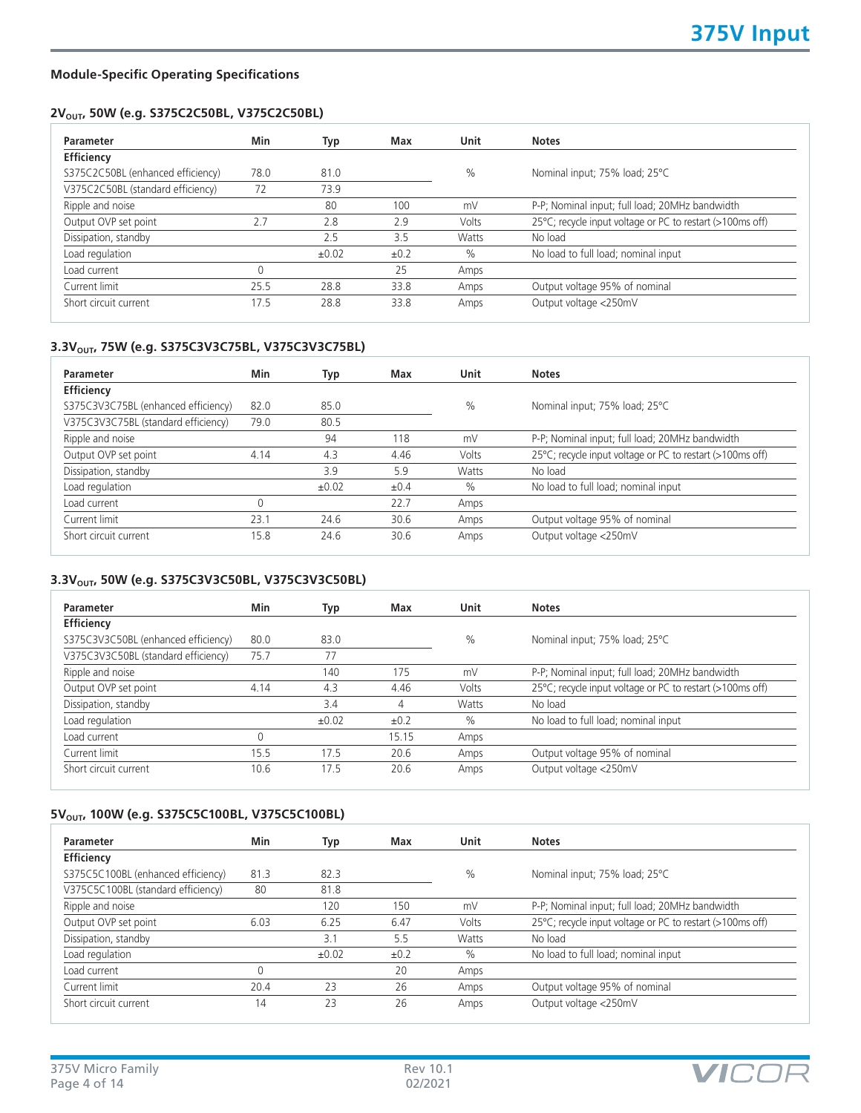**VICO** 

## **Module-Specific Operating Specifications**

# 2V<sub>OUT</sub>, 50W (e.g. S375C2C50BL, V375C2C50BL)

| Parameter                         | Min  | Typ   | Max  | <b>Unit</b>  | <b>Notes</b>                                              |
|-----------------------------------|------|-------|------|--------------|-----------------------------------------------------------|
| Efficiency                        |      |       |      |              |                                                           |
| S375C2C50BL (enhanced efficiency) | 78.0 | 81.0  |      | $\%$         | Nominal input; 75% load; 25°C                             |
| V375C2C50BL (standard efficiency) | 72   | 73.9  |      |              |                                                           |
| Ripple and noise                  |      | 80    | 100  | mV           | P-P; Nominal input; full load; 20MHz bandwidth            |
| Output OVP set point              | 2.7  | 2.8   | 2.9  | Volts        | 25°C; recycle input voltage or PC to restart (>100ms off) |
| Dissipation, standby              |      | 2.5   | 3.5  | <b>Watts</b> | No load                                                   |
| Load regulation                   |      | ±0.02 | ±0.2 | $\%$         | No load to full load; nominal input                       |
| Load current                      | 0    |       | 25   | Amps         |                                                           |
| Current limit                     | 25.5 | 28.8  | 33.8 | Amps         | Output voltage 95% of nominal                             |
| Short circuit current             | 17.5 | 28.8  | 33.8 | Amps         | Output voltage <250mV                                     |

## 3.3V<sub>OUT</sub>, 75W (e.g. S375C3V3C75BL, V375C3V3C75BL)

| Parameter                           | Min  | Typ   | Max  | Unit  | <b>Notes</b>                                              |
|-------------------------------------|------|-------|------|-------|-----------------------------------------------------------|
| Efficiency                          |      |       |      |       |                                                           |
| S375C3V3C75BL (enhanced efficiency) | 82.0 | 85.0  |      | $\%$  | Nominal input; 75% load; 25°C                             |
| V375C3V3C75BL (standard efficiency) | 79.0 | 80.5  |      |       |                                                           |
| Ripple and noise                    |      | 94    | 118  | mV    | P-P; Nominal input; full load; 20MHz bandwidth            |
| Output OVP set point                | 4.14 | 4.3   | 4.46 | Volts | 25°C; recycle input voltage or PC to restart (>100ms off) |
| Dissipation, standby                |      | 3.9   | 5.9  | Watts | No load                                                   |
| Load regulation                     |      | ±0.02 | ±0.4 | $\%$  | No load to full load; nominal input                       |
| Load current                        | U    |       | 22.7 | Amps  |                                                           |
| Current limit                       | 23.1 | 24.6  | 30.6 | Amps  | Output voltage 95% of nominal                             |
| Short circuit current               | 15.8 | 24.6  | 30.6 | Amps  | Output voltage <250mV                                     |

# 3.3V<sub>OUT</sub>, 50W (e.g. S375C3V3C50BL, V375C3V3C50BL)

| Parameter                           | Min  | Typ   | Max   | Unit  | <b>Notes</b>                                              |
|-------------------------------------|------|-------|-------|-------|-----------------------------------------------------------|
| Efficiency                          |      |       |       |       |                                                           |
| S375C3V3C50BL (enhanced efficiency) | 80.0 | 83.0  |       | $\%$  | Nominal input; 75% load; 25°C                             |
| V375C3V3C50BL (standard efficiency) | 75.7 | 77    |       |       |                                                           |
| Ripple and noise                    |      | 140   | 175   | mV    | P-P; Nominal input; full load; 20MHz bandwidth            |
| Output OVP set point                | 4.14 | 4.3   | 4.46  | Volts | 25°C; recycle input voltage or PC to restart (>100ms off) |
| Dissipation, standby                |      | 3.4   | 4     | Watts | No load                                                   |
| Load regulation                     |      | ±0.02 | ±0.2  | $\%$  | No load to full load; nominal input                       |
| Load current                        |      |       | 15.15 | Amps  |                                                           |
| Current limit                       | 15.5 | 17.5  | 20.6  | Amps  | Output voltage 95% of nominal                             |
| Short circuit current               | 10.6 | 17.5  | 20.6  | Amps  | Output voltage <250mV                                     |

# 5V<sub>OUT</sub>, 100W (e.g. S375C5C100BL, V375C5C100BL)

| Parameter                          | Min  | Typ   | Max       | <b>Unit</b> | <b>Notes</b>                                              |
|------------------------------------|------|-------|-----------|-------------|-----------------------------------------------------------|
| Efficiency                         |      |       |           |             |                                                           |
| S375C5C100BL (enhanced efficiency) | 81.3 | 82.3  |           | $\%$        | Nominal input; 75% load; 25°C                             |
| V375C5C100BL (standard efficiency) | 80   | 81.8  |           |             |                                                           |
| Ripple and noise                   |      | 120   | 150       | mV          | P-P; Nominal input; full load; 20MHz bandwidth            |
| Output OVP set point               | 6.03 | 6.25  | 6.47      | Volts       | 25°C; recycle input voltage or PC to restart (>100ms off) |
| Dissipation, standby               |      | 3.1   | 5.5       | Watts       | No load                                                   |
| Load regulation                    |      | ±0.02 | $\pm 0.2$ | $\%$        | No load to full load; nominal input                       |
| Load current                       | 0    |       | 20        | Amps        |                                                           |
| Current limit                      | 20.4 | 23    | 26        | Amps        | Output voltage 95% of nominal                             |
| Short circuit current              | 14   | 23    | 26        | Amps        | Output voltage <250mV                                     |

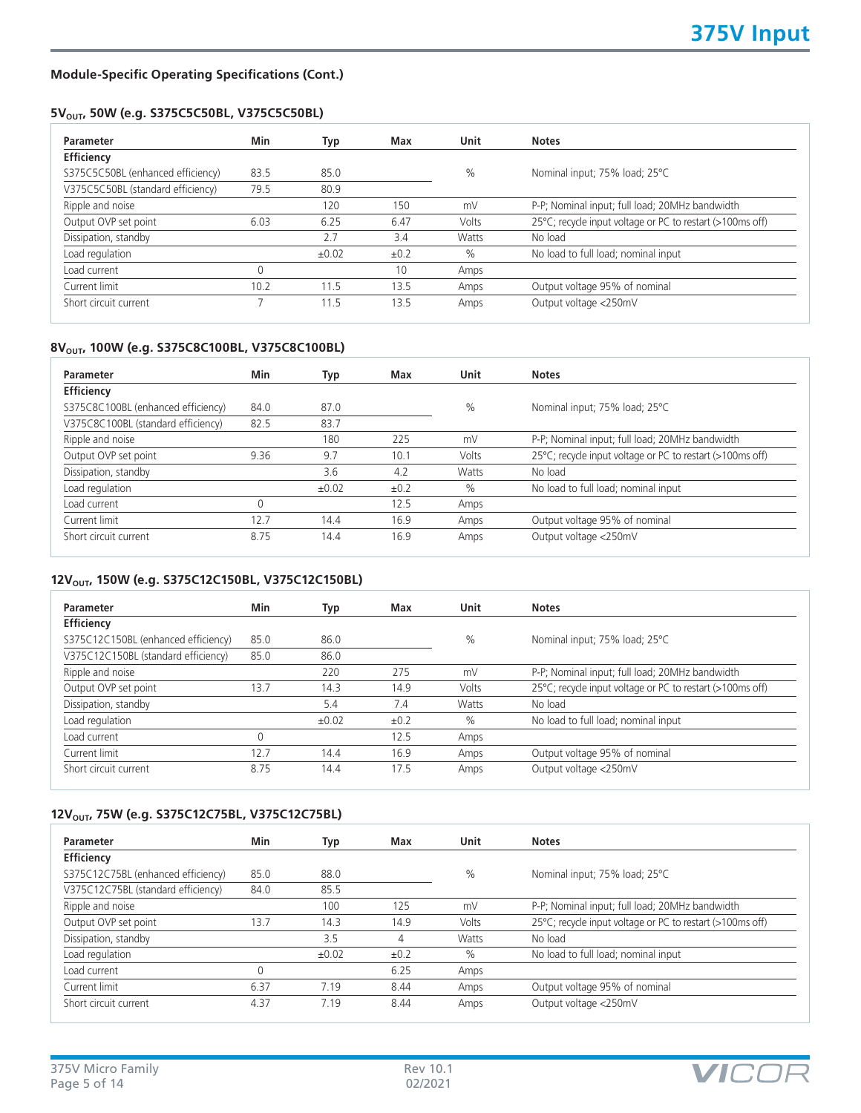**VICO** 

## **Module-Specific Operating Specifications (Cont.)**

## 5V<sub>OUT</sub>, 50W (e.g. S375C5C50BL, V375C5C50BL)

| Parameter                         | Min  | Typ   | Max       | <b>Unit</b> | <b>Notes</b>                                              |
|-----------------------------------|------|-------|-----------|-------------|-----------------------------------------------------------|
| Efficiency                        |      |       |           |             |                                                           |
| S375C5C50BL (enhanced efficiency) | 83.5 | 85.0  |           | $\%$        | Nominal input; 75% load; 25°C                             |
| V375C5C50BL (standard efficiency) | 79.5 | 80.9  |           |             |                                                           |
| Ripple and noise                  |      | 120   | 150       | mV          | P-P; Nominal input; full load; 20MHz bandwidth            |
| Output OVP set point              | 6.03 | 6.25  | 6.47      | Volts       | 25°C; recycle input voltage or PC to restart (>100ms off) |
| Dissipation, standby              |      | 2.7   | 3.4       | Watts       | No load                                                   |
| Load regulation                   |      | ±0.02 | $\pm 0.2$ | $\%$        | No load to full load; nominal input                       |
| Load current                      | 0    |       | 10        | Amps        |                                                           |
| Current limit                     | 10.2 | 11.5  | 13.5      | Amps        | Output voltage 95% of nominal                             |
| Short circuit current             |      | 11.5  | 13.5      | Amps        | Output voltage <250mV                                     |

# 8V<sub>OUT</sub>, 100W (e.g. S375C8C100BL, V375C8C100BL)

| Parameter                          | Min  | Typ   | Max  | Unit          | <b>Notes</b>                                              |
|------------------------------------|------|-------|------|---------------|-----------------------------------------------------------|
| Efficiency                         |      |       |      |               |                                                           |
| S375C8C100BL (enhanced efficiency) | 84.0 | 87.0  |      | $\frac{0}{0}$ | Nominal input; 75% load; 25°C                             |
| V375C8C100BL (standard efficiency) | 82.5 | 83.7  |      |               |                                                           |
| Ripple and noise                   |      | 180   | 225  | mV            | P-P; Nominal input; full load; 20MHz bandwidth            |
| Output OVP set point               | 9.36 | 9.7   | 10.1 | Volts         | 25°C; recycle input voltage or PC to restart (>100ms off) |
| Dissipation, standby               |      | 3.6   | 4.2  | Watts         | No load                                                   |
| Load regulation                    |      | ±0.02 | ±0.2 | $\%$          | No load to full load; nominal input                       |
| Load current                       | 0    |       | 12.5 | Amps          |                                                           |
| Current limit                      | 12.7 | 14.4  | 16.9 | Amps          | Output voltage 95% of nominal                             |
| Short circuit current              | 8.75 | 14.4  | 16.9 | Amps          | Output voltage <250mV                                     |

# 12V<sub>OUT</sub>, 150W (e.g. S375C12C150BL, V375C12C150BL)

| Parameter                           | Min  | Typ        | Max       | Unit          | <b>Notes</b>                                              |
|-------------------------------------|------|------------|-----------|---------------|-----------------------------------------------------------|
| Efficiency                          |      |            |           |               |                                                           |
| S375C12C150BL (enhanced efficiency) | 85.0 | 86.0       |           | $\frac{0}{0}$ | Nominal input; 75% load; 25°C                             |
| V375C12C150BL (standard efficiency) | 85.0 | 86.0       |           |               |                                                           |
| Ripple and noise                    |      | 220        | 275       | mV            | P-P; Nominal input; full load; 20MHz bandwidth            |
| Output OVP set point                | 13.7 | 14.3       | 14.9      | Volts         | 25°C; recycle input voltage or PC to restart (>100ms off) |
| Dissipation, standby                |      | 5.4        | 7.4       | Watts         | No load                                                   |
| Load regulation                     |      | $\pm 0.02$ | $\pm 0.2$ | $\%$          | No load to full load; nominal input                       |
| Load current                        | 0    |            | 12.5      | Amps          |                                                           |
| Current limit                       | 12.7 | 14.4       | 16.9      | Amps          | Output voltage 95% of nominal                             |
| Short circuit current               | 8.75 | 14.4       | 17.5      | Amps          | Output voltage <250mV                                     |

# 12V<sub>OUT</sub>, 75W (e.g. S375C12C75BL, V375C12C75BL)

| Parameter                          | Min  | Typ        | Max       | Unit         | <b>Notes</b>                                              |
|------------------------------------|------|------------|-----------|--------------|-----------------------------------------------------------|
| Efficiency                         |      |            |           |              |                                                           |
| S375C12C75BL (enhanced efficiency) | 85.0 | 88.0       |           | $\%$         | Nominal input; 75% load; 25°C                             |
| V375C12C75BL (standard efficiency) | 84.0 | 85.5       |           |              |                                                           |
| Ripple and noise                   |      | 100        | 125       | mV           | P-P; Nominal input; full load; 20MHz bandwidth            |
| Output OVP set point               | 13.7 | 14.3       | 14.9      | Volts        | 25°C; recycle input voltage or PC to restart (>100ms off) |
| Dissipation, standby               |      | 3.5        | 4         | <b>Watts</b> | No load                                                   |
| Load regulation                    |      | $\pm 0.02$ | $\pm 0.2$ | $\%$         | No load to full load; nominal input                       |
| Load current                       | 0    |            | 6.25      | Amps         |                                                           |
| Current limit                      | 6.37 | 7.19       | 8.44      | Amps         | Output voltage 95% of nominal                             |
| Short circuit current              | 4.37 | 7.19       | 8.44      | Amps         | Output voltage <250mV                                     |

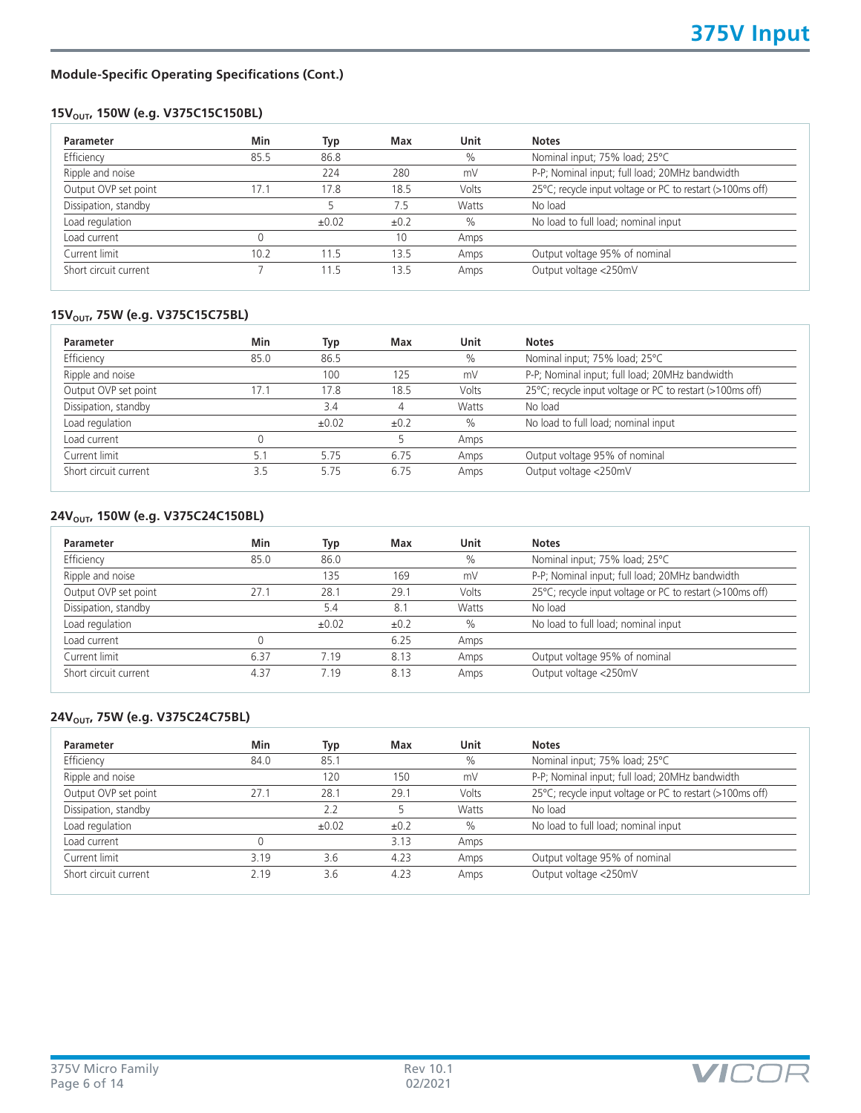# **Module-Specific Operating Specifications (Cont.)**

# 15V<sub>OUT</sub>, 150W (e.g. V375C15C150BL)

| Min  | Typ        | Max  | Unit  | <b>Notes</b>                                              |
|------|------------|------|-------|-----------------------------------------------------------|
| 85.5 | 86.8       |      | $\%$  | Nominal input; 75% load; 25°C                             |
|      | 224        | 280  | mV    | P-P; Nominal input; full load; 20MHz bandwidth            |
| 17.1 | 17.8       | 18.5 | Volts | 25°C; recycle input voltage or PC to restart (>100ms off) |
|      |            | 7.5  | Watts | No load                                                   |
|      | $\pm 0.02$ | ±0.2 | $\%$  | No load to full load; nominal input                       |
|      |            | 10   | Amps  |                                                           |
| 10.2 | 11.5       | 13.5 | Amps  | Output voltage 95% of nominal                             |
|      | 11.5       | 13.5 | Amps  | Output voltage <250mV                                     |
|      |            |      |       |                                                           |

# 15V<sub>OUT</sub>, 75W (e.g. V375C15C75BL)

| Parameter             | Min  | Typ        | Max       | Unit  | <b>Notes</b>                                              |
|-----------------------|------|------------|-----------|-------|-----------------------------------------------------------|
| Efficiency            | 85.0 | 86.5       |           | $\%$  | Nominal input; 75% load; 25°C                             |
| Ripple and noise      |      | 100        | 125       | mV    | P-P; Nominal input; full load; 20MHz bandwidth            |
| Output OVP set point  | 17.1 | 17.8       | 18.5      | Volts | 25°C; recycle input voltage or PC to restart (>100ms off) |
| Dissipation, standby  |      | 3.4        | 4         | Watts | No load                                                   |
| Load regulation       |      | $\pm 0.02$ | $\pm 0.2$ | $\%$  | No load to full load; nominal input                       |
| Load current          |      |            |           | Amps  |                                                           |
| Current limit         | 5.1  | 5.75       | 6.75      | Amps  | Output voltage 95% of nominal                             |
| Short circuit current | 3.5  | 5.75       | 6.75      | Amps  | Output voltage <250mV                                     |

# 24V<sub>OUT</sub>, 150W (e.g. V375C24C150BL)

| Min  | Typ   | Max  | Unit  | <b>Notes</b>                                              |
|------|-------|------|-------|-----------------------------------------------------------|
| 85.0 | 86.0  |      | $\%$  | Nominal input; 75% load; 25°C                             |
|      | 135   | 169  | mV    | P-P; Nominal input; full load; 20MHz bandwidth            |
| 27.1 | 28.1  | 29.1 | Volts | 25°C; recycle input voltage or PC to restart (>100ms off) |
|      | 5.4   | 8.1  | Watts | No load                                                   |
|      | ±0.02 | ±0.2 | $\%$  | No load to full load; nominal input                       |
|      |       | 6.25 | Amps  |                                                           |
| 6.37 | 7.19  | 8.13 | Amps  | Output voltage 95% of nominal                             |
| 4.37 | 7.19  | 8.13 | Amps  | Output voltage <250mV                                     |
|      |       |      |       |                                                           |

# **24V<sub>OUT</sub>, 75W (e.g. V375C24C75BL)**

| Min  | Typ        | Max  | Unit  | <b>Notes</b>                                              |
|------|------------|------|-------|-----------------------------------------------------------|
| 84.0 | 85.1       |      | $\%$  | Nominal input; 75% load; 25°C                             |
|      | 120        | 150  | mV    | P-P; Nominal input; full load; 20MHz bandwidth            |
| 27.1 | 28.1       | 29.1 | Volts | 25°C; recycle input voltage or PC to restart (>100ms off) |
|      | 2.2        |      | Watts | No load                                                   |
|      | $\pm 0.02$ | ±0.2 | $\%$  | No load to full load; nominal input                       |
| 0    |            | 3.13 | Amps  |                                                           |
| 3.19 | 3.6        | 4.23 | Amps  | Output voltage 95% of nominal                             |
| 2.19 | 3.6        | 4.23 | Amps  | Output voltage <250mV                                     |
|      |            |      |       |                                                           |

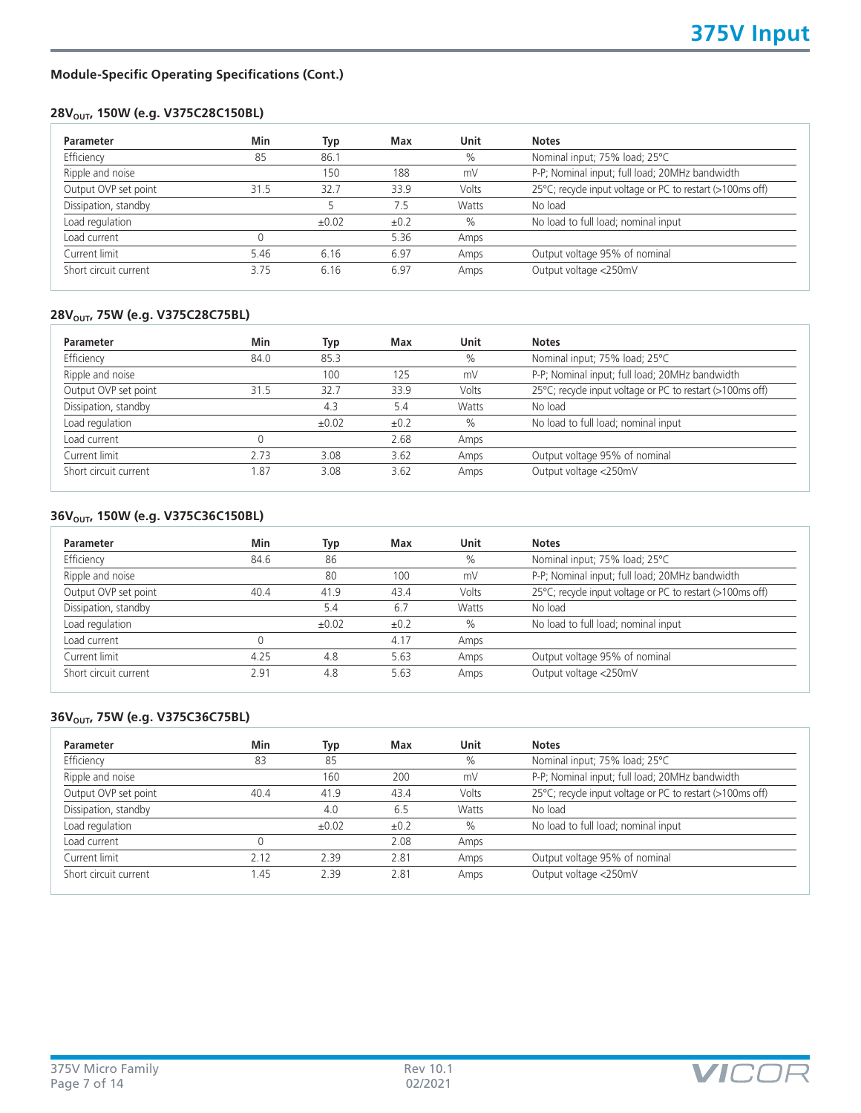# **Module-Specific Operating Specifications (Cont.)**

# 28V<sub>OUT</sub>, 150W (e.g. V375C28C150BL)

| Min  | Typ        | Max  | Unit         | <b>Notes</b>                                              |
|------|------------|------|--------------|-----------------------------------------------------------|
| 85   | 86.1       |      | $\%$         | Nominal input; 75% load; 25°C                             |
|      | 150        | 188  | mV           | P-P; Nominal input; full load; 20MHz bandwidth            |
| 31.5 | 32.7       | 33.9 | Volts        | 25°C; recycle input voltage or PC to restart (>100ms off) |
|      |            | 7.5  | <b>Watts</b> | No load                                                   |
|      | $\pm 0.02$ | ±0.2 | $\%$         | No load to full load; nominal input                       |
| 0    |            | 5.36 | Amps         |                                                           |
| 5.46 | 6.16       | 6.97 | Amps         | Output voltage 95% of nominal                             |
| 3.75 | 6.16       | 6.97 | Amps         | Output voltage <250mV                                     |
|      |            |      |              |                                                           |

# 28V<sub>OUT</sub>, 75W (e.g. V375C28C75BL)

| Parameter             | Min   | Typ        | Max       | Unit  | <b>Notes</b>                                              |
|-----------------------|-------|------------|-----------|-------|-----------------------------------------------------------|
| Efficiency            | 84.0  | 85.3       |           | $\%$  | Nominal input; 75% load; 25°C                             |
| Ripple and noise      |       | 100        | 125       | mV    | P-P; Nominal input; full load; 20MHz bandwidth            |
| Output OVP set point  | 31.5  | 32.7       | 33.9      | Volts | 25°C; recycle input voltage or PC to restart (>100ms off) |
| Dissipation, standby  |       | 4.3        | 5.4       | Watts | No load                                                   |
| Load regulation       |       | $\pm 0.02$ | $\pm 0.2$ | $\%$  | No load to full load; nominal input                       |
| Load current          |       |            | 2.68      | Amps  |                                                           |
| Current limit         | 2.73  | 3.08       | 3.62      | Amps  | Output voltage 95% of nominal                             |
| Short circuit current | . .87 | 3.08       | 3.62      | Amps  | Output voltage <250mV                                     |

## 36V<sub>OUT</sub>, 150W (e.g. V375C36C150BL)

| 84.6 |            |           |       |                                                           |
|------|------------|-----------|-------|-----------------------------------------------------------|
|      | 86         |           | $\%$  | Nominal input; 75% load; 25°C                             |
|      | 80         | 100       | mV    | P-P; Nominal input; full load; 20MHz bandwidth            |
| 40.4 | 41.9       | 43.4      | Volts | 25°C; recycle input voltage or PC to restart (>100ms off) |
|      | 5.4        | 6.7       | Watts | No load                                                   |
|      | $\pm 0.02$ | $\pm 0.2$ | $\%$  | No load to full load; nominal input                       |
|      |            | 4.17      | Amps  |                                                           |
| 4.25 | 4.8        | 5.63      | Amps  | Output voltage 95% of nominal                             |
| 2.91 | 4.8        | 5.63      | Amps  | Output voltage <250mV                                     |
|      |            |           |       |                                                           |

# 36V<sub>OUT</sub>, 75W (e.g. V375C36C75BL)

| Min  | Typ        | Max  | Unit  | <b>Notes</b>                                              |
|------|------------|------|-------|-----------------------------------------------------------|
| 83   | 85         |      | $\%$  | Nominal input; 75% load; 25°C                             |
|      | 160        | 200  | mV    | P-P; Nominal input; full load; 20MHz bandwidth            |
| 40.4 | 41.9       | 43.4 | Volts | 25°C; recycle input voltage or PC to restart (>100ms off) |
|      | 4.0        | 6.5  | Watts | No load                                                   |
|      | $\pm 0.02$ | ±0.2 | $\%$  | No load to full load; nominal input                       |
|      |            | 2.08 | Amps  |                                                           |
| 2.12 | 2.39       | 2.81 | Amps  | Output voltage 95% of nominal                             |
| .45  | 2.39       | 2.81 | Amps  | Output voltage <250mV                                     |
|      |            |      |       |                                                           |

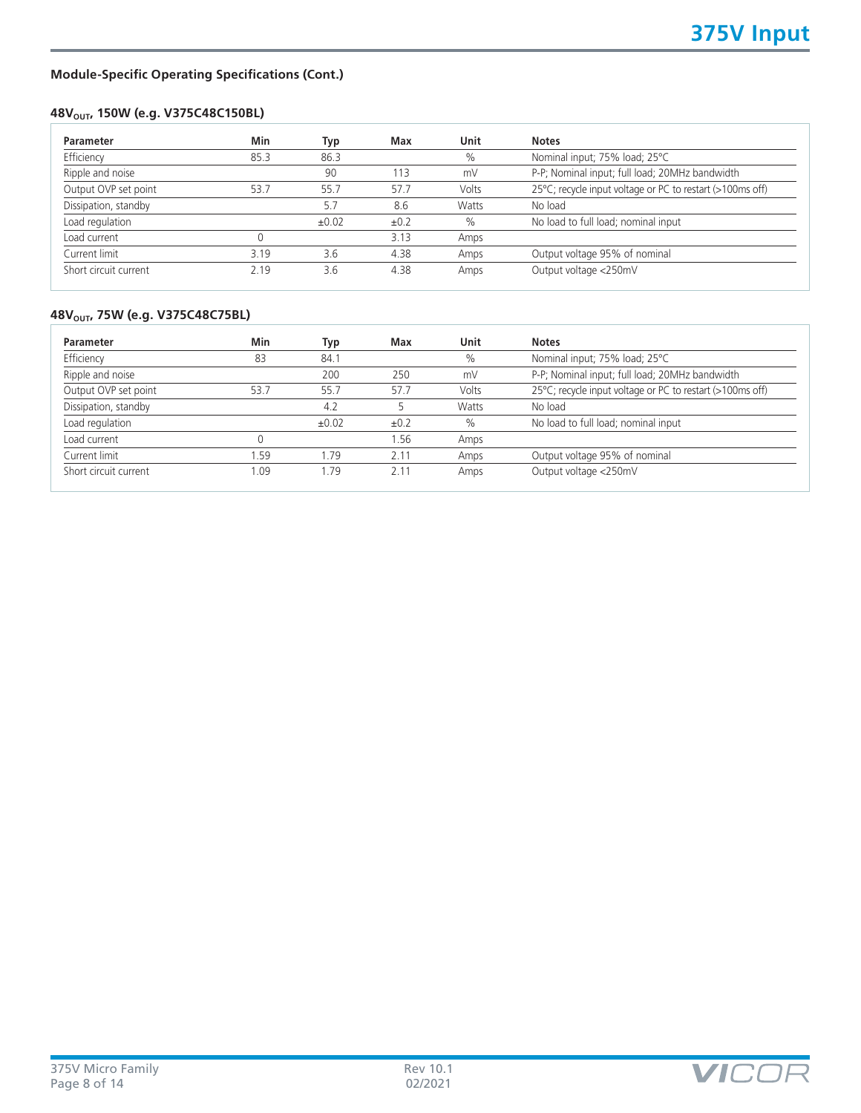# **Module-Specific Operating Specifications (Cont.)**

# **48V<sub>OUT</sub>, 150W (e.g. V375C48C150BL)**

| 85.3 | 86.3<br>90 |      | $\%$  | Nominal input; 75% load; 25°C                             |
|------|------------|------|-------|-----------------------------------------------------------|
|      |            |      |       |                                                           |
|      |            | 113  | mV    | P-P; Nominal input; full load; 20MHz bandwidth            |
| 53.7 | 55.7       | 57.7 | Volts | 25°C; recycle input voltage or PC to restart (>100ms off) |
|      | 5.7        | 8.6  | Watts | No load                                                   |
|      | ±0.02      | ±0.2 | $\%$  | No load to full load; nominal input                       |
|      |            | 3.13 | Amps  |                                                           |
| 3.19 | 3.6        | 4.38 | Amps  | Output voltage 95% of nominal                             |
| 2.19 | 3.6        | 4.38 | Amps  | Output voltage <250mV                                     |
|      |            |      |       |                                                           |

# **48V<sub>OUT</sub>, 75W (e.g. V375C48C75BL)**

| <b>Parameter</b>      | Min  | Typ        | Max  | Unit  | <b>Notes</b>                                              |
|-----------------------|------|------------|------|-------|-----------------------------------------------------------|
| Efficiency            | 83   | 84.1       |      | $\%$  | Nominal input; 75% load; 25°C                             |
| Ripple and noise      |      | 200        | 250  | mV    | P-P; Nominal input; full load; 20MHz bandwidth            |
| Output OVP set point  | 53.7 | 55.7       | 57.7 | Volts | 25°C; recycle input voltage or PC to restart (>100ms off) |
| Dissipation, standby  |      | 4.2        |      | Watts | No load                                                   |
| Load regulation       |      | $\pm 0.02$ | ±0.2 | $\%$  | No load to full load; nominal input                       |
| Load current          |      |            | 1.56 | Amps  |                                                           |
| Current limit         | .59  | 1.79       | 2.11 | Amps  | Output voltage 95% of nominal                             |
| Short circuit current | .09  | .79        | 2.11 | Amps  | Output voltage <250mV                                     |

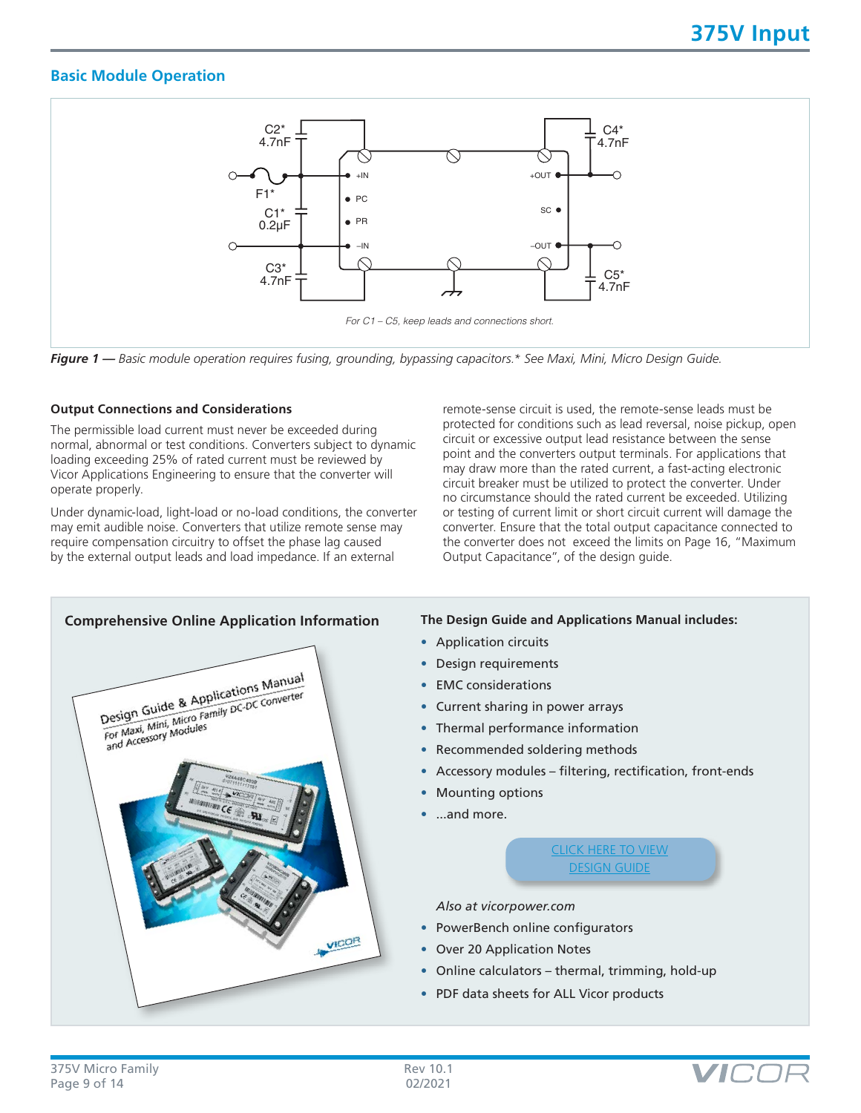# **Basic Module Operation**



*Figure 1 — Basic module operation requires fusing, grounding, bypassing capacitors.\* See Maxi, Mini, Micro Design Guide.*

### **Output Connections and Considerations**

The permissible load current must never be exceeded during normal, abnormal or test conditions. Converters subject to dynamic loading exceeding 25% of rated current must be reviewed by Vicor Applications Engineering to ensure that the converter will operate properly.

Under dynamic-load, light-load or no-load conditions, the converter may emit audible noise. Converters that utilize remote sense may require compensation circuitry to offset the phase lag caused by the external output leads and load impedance. If an external

remote-sense circuit is used, the remote-sense leads must be protected for conditions such as lead reversal, noise pickup, open circuit or excessive output lead resistance between the sense point and the converters output terminals. For applications that may draw more than the rated current, a fast-acting electronic circuit breaker must be utilized to protect the converter. Under no circumstance should the rated current be exceeded. Utilizing or testing of current limit or short circuit current will damage the converter. Ensure that the total output capacitance connected to the converter does not exceed the limits on Page 16, "Maximum Output Capacitance", of the design guide.



- Application circuits
- Design requirements
- EMC considerations
- Current sharing in power arrays
- Thermal performance information
- Recommended soldering methods
- Accessory modules filtering, rectification, front-ends
- Mounting options
- ...and more.

[CLICK HERE TO VIEW](http://www.vicorpower.com/documents/applications_manual/fas_trak_apps_manual.pdf) [DESIGN GUIDE](http://www.vicorpower.com/documents/applications_manual/fas_trak_apps_manual.pdf)

*Also at vicorpower.com*

- PowerBench online configurators
- Over 20 Application Notes
- Online calculators thermal, trimming, hold-up
- PDF data sheets for ALL Vicor products

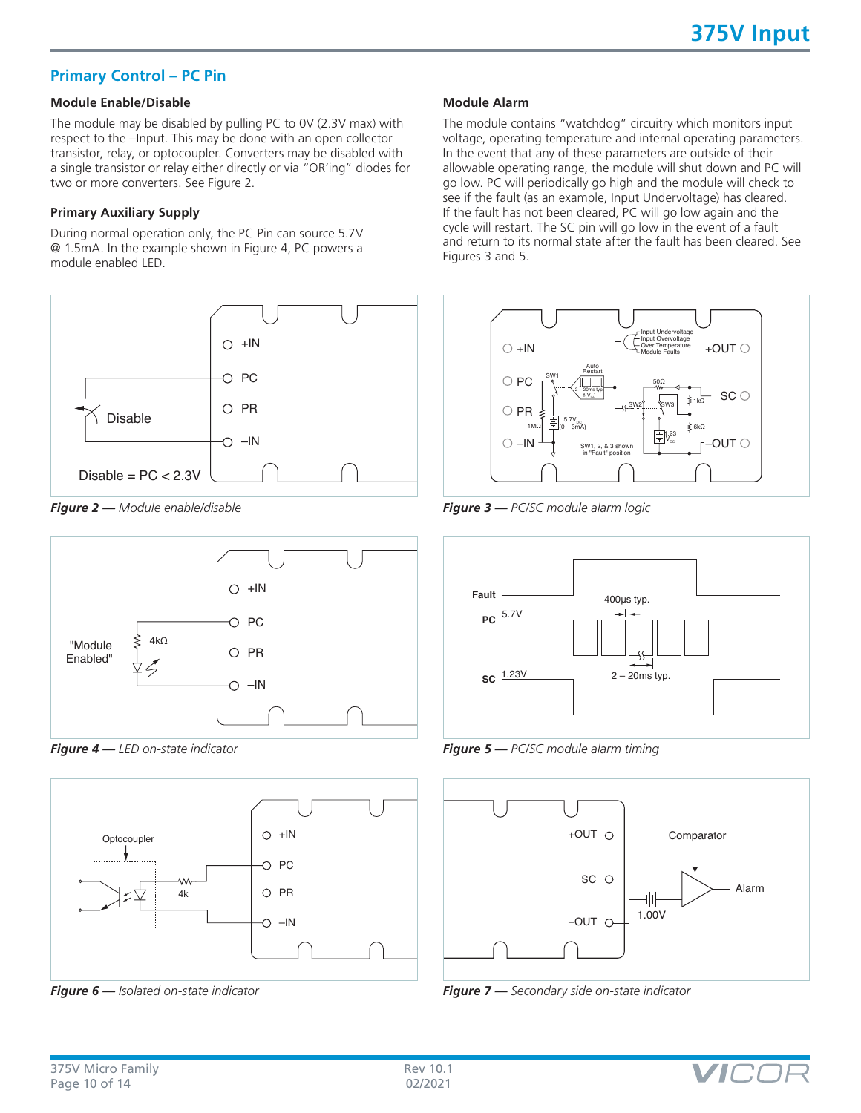# **Primary Control – PC Pin**

# **Module Enable/Disable**

The module may be disabled by pulling PC to 0V (2.3V max) with respect to the –Input. This may be done with an open collector transistor, relay, or optocoupler. Converters may be disabled with a single transistor or relay either directly or via "OR'ing" diodes for two or more converters. See Figure 2.

#### **Primary Auxiliary Supply**

During normal operation only, the PC Pin can source 5.7V @ 1.5mA. In the example shown in Figure 4, PC powers a module enabled LED.



*Figure 2 — Module enable/disable*



*Figure 4 — LED on-state indicator*



*Figure 6 — Isolated on-state indicator*

#### **Module Alarm**

The module contains "watchdog" circuitry which monitors input voltage, operating temperature and internal operating parameters. In the event that any of these parameters are outside of their allowable operating range, the module will shut down and PC will go low. PC will periodically go high and the module will check to see if the fault (as an example, Input Undervoltage) has cleared. If the fault has not been cleared, PC will go low again and the cycle will restart. The SC pin will go low in the event of a fault and return to its normal state after the fault has been cleared. See Figures 3 and 5.



*Figure 3 — PC/SC module alarm logic*



*Figure 5 — PC/SC module alarm timing*



*Figure 7 — Secondary side on-state indicator*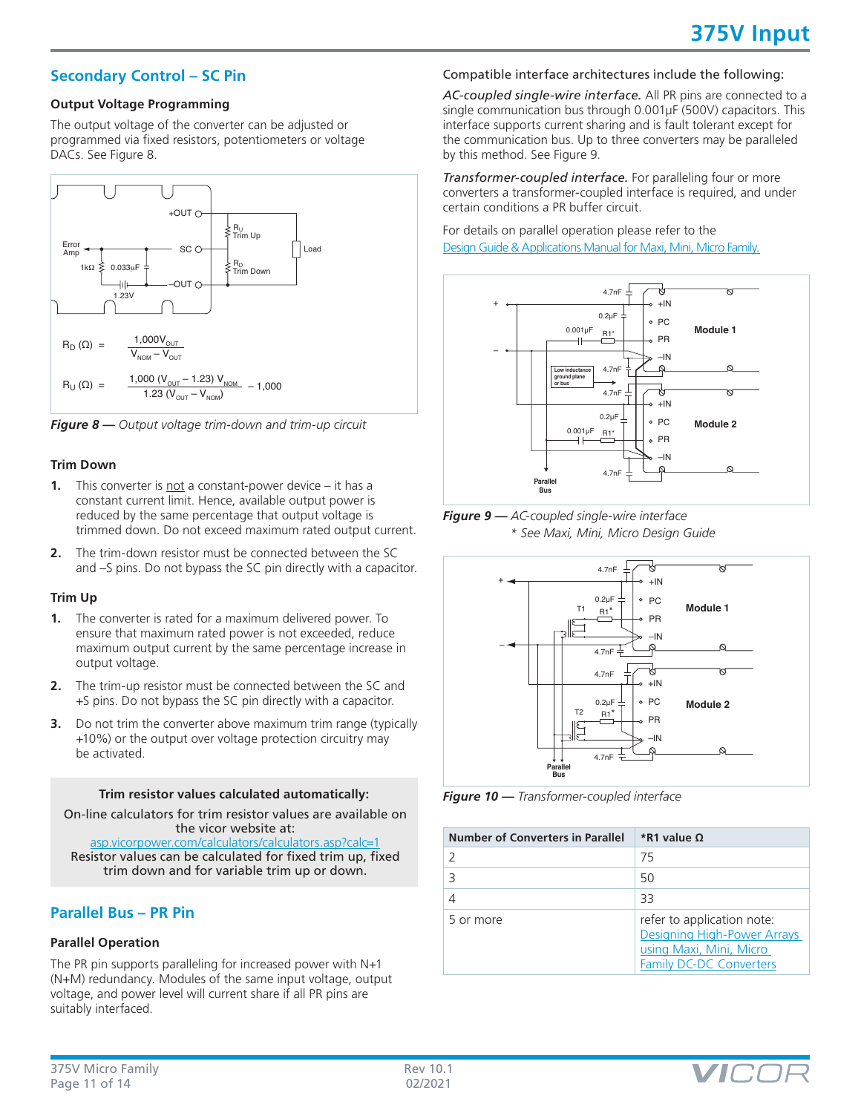# **Secondary Control – SC Pin**

#### **Output Voltage Programming**

The output voltage of the converter can be adjusted or programmed via fixed resistors, potentiometers or voltage DACs. See Figure 8.



*Figure 8 — Output voltage trim-down and trim-up circuit*

## **Trim Down**

- **1.** This converter is not a constant-power device it has a constant current limit. Hence, available output power is reduced by the same percentage that output voltage is trimmed down. Do not exceed maximum rated output current.
- **2.** The trim-down resistor must be connected between the SC and –S pins. Do not bypass the SC pin directly with a capacitor.

#### **Trim Up**

- **1.** The converter is rated for a maximum delivered power. To ensure that maximum rated power is not exceeded, reduce maximum output current by the same percentage increase in output voltage.
- **2.** The trim-up resistor must be connected between the SC and +S pins. Do not bypass the SC pin directly with a capacitor.
- **3.** Do not trim the converter above maximum trim range (typically +10%) or the output over voltage protection circuitry may be activated.

#### **Trim resistor values calculated automatically:**

On-line calculators for trim resistor values are available on the vicor website at:

[asp.vicorpower.com/calculators/calculators.asp?calc=1](http://asp.vicorpower.com/calculators/calculators.asp?calc=1) Resistor values can be calculated for fixed trim up, fixed trim down and for variable trim up or down.

# **Parallel Bus – PR Pin**

# **Parallel Operation**

The PR pin supports paralleling for increased power with N+1 (N+M) redundancy. Modules of the same input voltage, output voltage, and power level will current share if all PR pins are suitably interfaced.

# Compatible interface architectures include the following:

*AC-coupled single-wire interface.* All PR pins are connected to a single communication bus through 0.001µF (500V) capacitors. This interface supports current sharing and is fault tolerant except for the communication bus. Up to three converters may be paralleled by this method. See Figure 9.

*Transformer-coupled interface.* For paralleling four or more converters a transformer-coupled interface is required, and under certain conditions a PR buffer circuit.

For details on parallel operation please refer to the [Design Guide & Applications Manual for Maxi, Mini, Micro Family.](http://www.vicorpower.com/documents/applications_manual/fas_trak_apps_manual.pdf)



*Figure 9 — AC-coupled single-wire interface \* See Maxi, Mini, Micro Design Guide*



*Figure 10 — Transformer-coupled interface*

| Number of Converters in Parallel | *R1 value Q                                                                                                            |
|----------------------------------|------------------------------------------------------------------------------------------------------------------------|
|                                  | 75                                                                                                                     |
|                                  | 50                                                                                                                     |
|                                  | 33                                                                                                                     |
| 5 or more                        | refer to application note:<br>Designing High-Power Arrays<br>using Maxi, Mini, Micro<br><b>Family DC-DC Converters</b> |

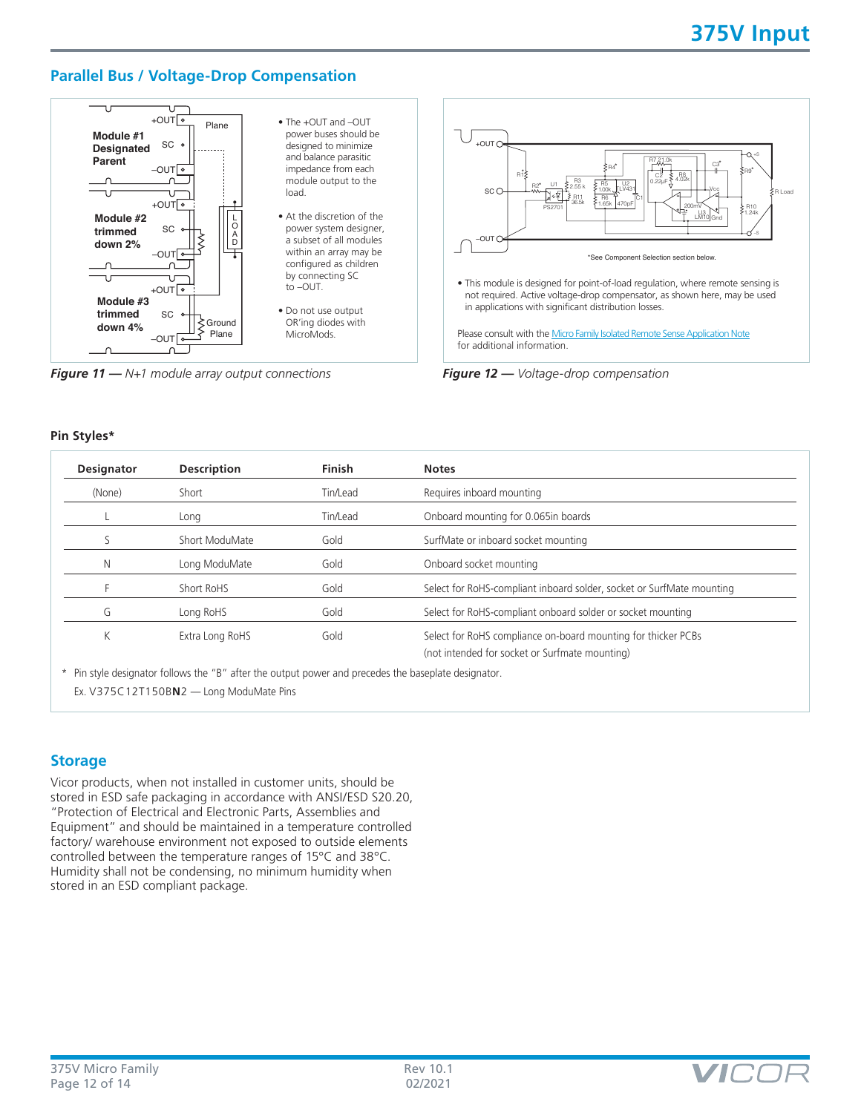# **Parallel Bus / Voltage-Drop Compensation**



*Figure 11 — N+1 module array output connections Figure 12 — Voltage-drop compensation*



#### **Pin Styles\***

| <b>Designator</b> | <b>Description</b> | <b>Finish</b> | <b>Notes</b>                                                                                                    |
|-------------------|--------------------|---------------|-----------------------------------------------------------------------------------------------------------------|
| (None)            | Short              | Tin/Lead      | Requires inboard mounting                                                                                       |
|                   | Long               | Tin/Lead      | Onboard mounting for 0.065in boards                                                                             |
|                   | Short ModuMate     | Gold          | SurfMate or inboard socket mounting                                                                             |
| N                 | Long ModuMate      | Gold          | Onboard socket mounting                                                                                         |
|                   | Short RoHS         | Gold          | Select for RoHS-compliant inboard solder, socket or SurfMate mounting                                           |
| G                 | Long RoHS          | Gold          | Select for RoHS-compliant onboard solder or socket mounting                                                     |
| К                 | Extra Long RoHS    | Gold          | Select for RoHS compliance on-board mounting for thicker PCBs<br>(not intended for socket or Surfmate mounting) |

\* Pin style designator follows the "B" after the output power and precedes the baseplate designator. Ex. V375C12T150B**N**2 — Long ModuMate Pins

# **Storage**

Vicor products, when not installed in customer units, should be stored in ESD safe packaging in accordance with ANSI/ESD S20.20, "Protection of Electrical and Electronic Parts, Assemblies and Equipment" and should be maintained in a temperature controlled factory/ warehouse environment not exposed to outside elements controlled between the temperature ranges of 15°C and 38°C. Humidity shall not be condensing, no minimum humidity when stored in an ESD compliant package.

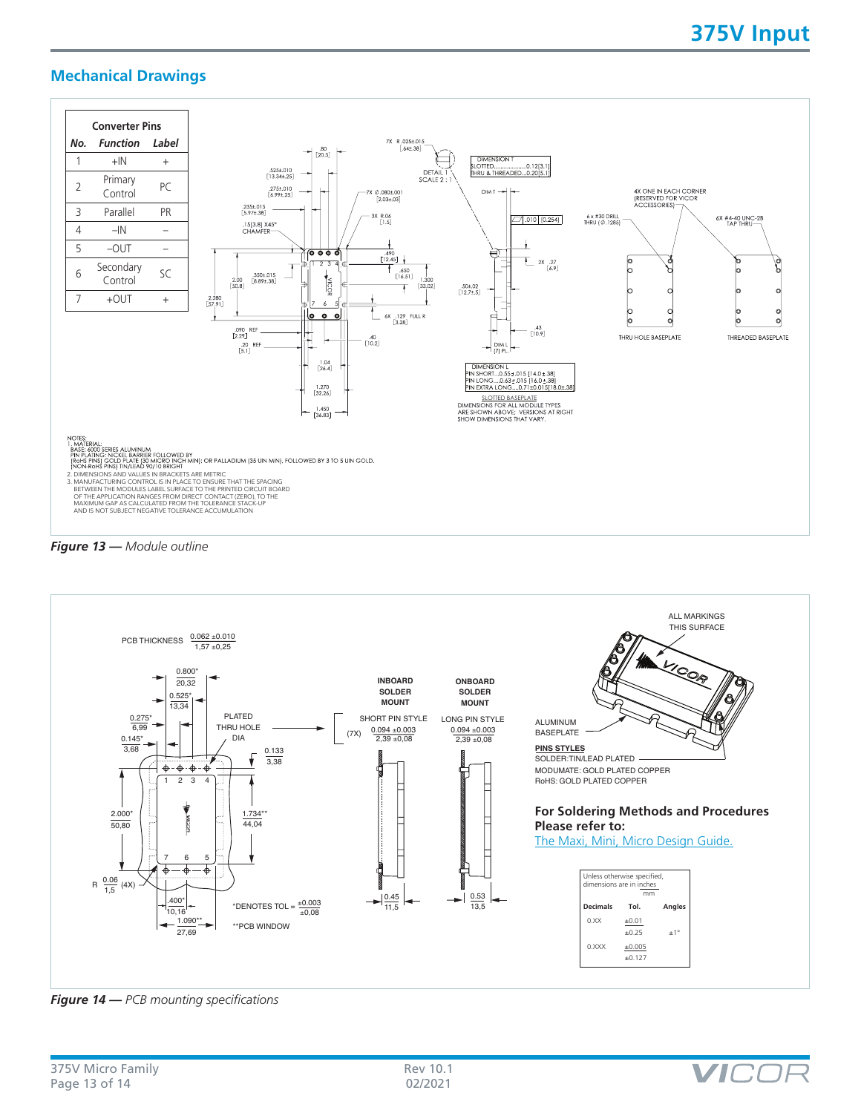# **Mechanical Drawings**







*Figure 14 — PCB mounting specifications*

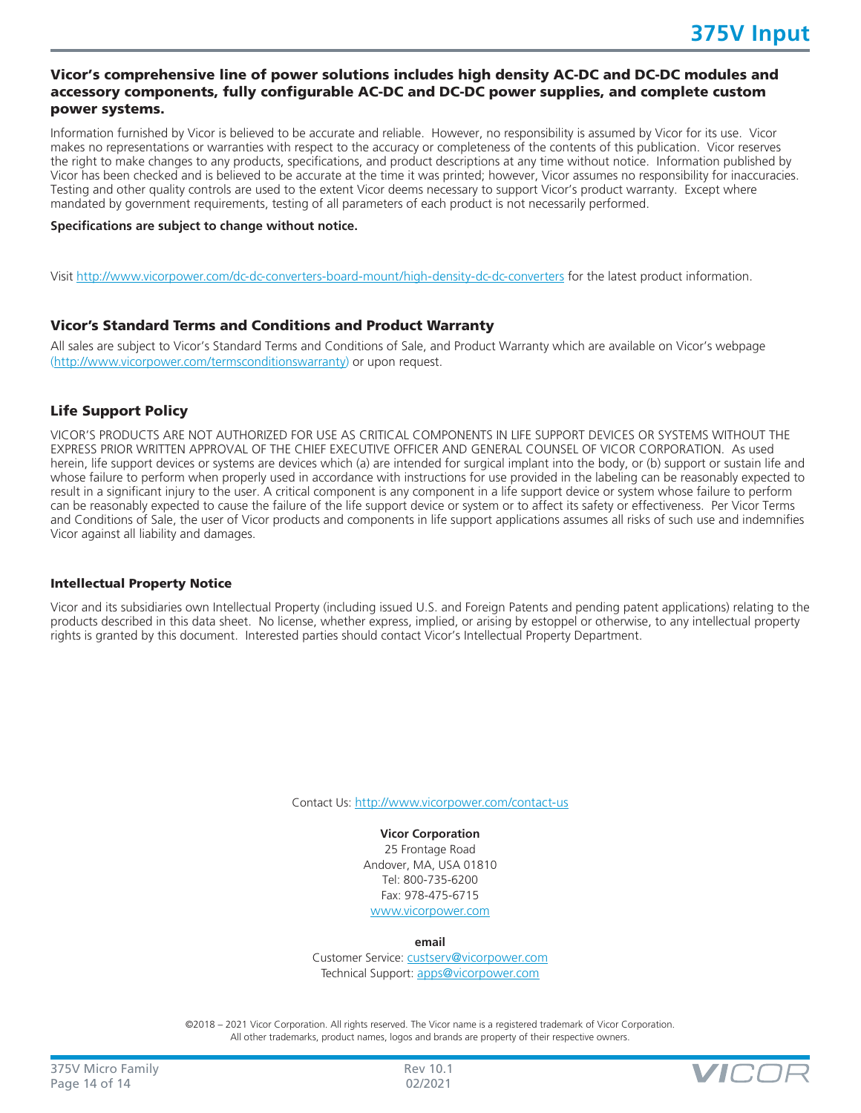# Vicor's comprehensive line of power solutions includes high density AC-DC and DC-DC modules and accessory components, fully configurable AC-DC and DC-DC power supplies, and complete custom power systems.

Information furnished by Vicor is believed to be accurate and reliable. However, no responsibility is assumed by Vicor for its use. Vicor makes no representations or warranties with respect to the accuracy or completeness of the contents of this publication. Vicor reserves the right to make changes to any products, specifications, and product descriptions at any time without notice. Information published by Vicor has been checked and is believed to be accurate at the time it was printed; however, Vicor assumes no responsibility for inaccuracies. Testing and other quality controls are used to the extent Vicor deems necessary to support Vicor's product warranty. Except where mandated by government requirements, testing of all parameters of each product is not necessarily performed.

#### **Specifications are subject to change without notice.**

Visit<http://www.vicorpower.com/dc-dc-converters-board-mount/high-density-dc-dc-converters> for the latest product information.

## Vicor's Standard Terms and Conditions and Product Warranty

All sales are subject to Vicor's Standard Terms and Conditions of Sale, and Product Warranty which are available on Vicor's webpage ([http://www.vicorpower.com/termsconditionswarranty\)](http://www.vicorpower.com/termsconditions) or upon request.

# Life Support Policy

VICOR'S PRODUCTS ARE NOT AUTHORIZED FOR USE AS CRITICAL COMPONENTS IN LIFE SUPPORT DEVICES OR SYSTEMS WITHOUT THE EXPRESS PRIOR WRITTEN APPROVAL OF THE CHIEF EXECUTIVE OFFICER AND GENERAL COUNSEL OF VICOR CORPORATION. As used herein, life support devices or systems are devices which (a) are intended for surgical implant into the body, or (b) support or sustain life and whose failure to perform when properly used in accordance with instructions for use provided in the labeling can be reasonably expected to result in a significant injury to the user. A critical component is any component in a life support device or system whose failure to perform can be reasonably expected to cause the failure of the life support device or system or to affect its safety or effectiveness. Per Vicor Terms and Conditions of Sale, the user of Vicor products and components in life support applications assumes all risks of such use and indemnifies Vicor against all liability and damages.

#### Intellectual Property Notice

Vicor and its subsidiaries own Intellectual Property (including issued U.S. and Foreign Patents and pending patent applications) relating to the products described in this data sheet. No license, whether express, implied, or arising by estoppel or otherwise, to any intellectual property rights is granted by this document. Interested parties should contact Vicor's Intellectual Property Department.

Contact Us: <http://www.vicorpower.com/contact-us>

**Vicor Corporation** 25 Frontage Road Andover, MA, USA 01810 Tel: 800-735-6200 Fax: 978-475-6715 [www.vicorpower.com](http://www.vicorpower.com)

**email**

Customer Service: [custserv@vicorpower.com](mailto:%20custserv%40vicorpower.com?subject=) Technical Support: [apps@vicorpower.com](mailto:apps%40vicorpower.com?subject=)

©2018 – 2021 Vicor Corporation. All rights reserved. The Vicor name is a registered trademark of Vicor Corporation. All other trademarks, product names, logos and brands are property of their respective owners.